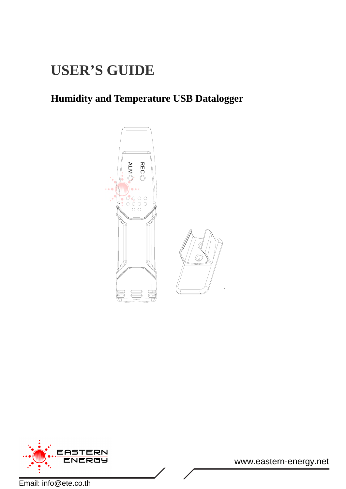# **USER'S GUIDE**

## **Humidity and Temperature USB Datalogger**





www.eastern-energy.net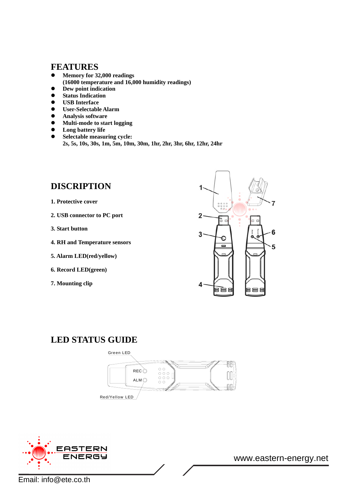#### **FEATURES**

- Memory for 32,000 readings **(16000 temperature and 16,000 humidity readings)**
- $\bullet$  Dew point indication
- Status Indication  $\bullet$  **USB** Interface
- z **User-Selectable Alarm**
- **•** Analysis software
- **•** Multi-mode to start logging
- $\bullet$  Long battery life
- z **Selectable measuring cycle:** 
	- **2s, 5s, 10s, 30s, 1m, 5m, 10m, 30m, 1hr, 2hr, 3hr, 6hr, 12hr, 24hr**

## **DISCRIPTION**

- **1. Protective cover**
- **2. USB connector to PC port**
- **3. Start button**
- **4. RH and Temperature sensors**
- **5. Alarm LED(red/yellow)**
- **6. Record LED(green)**
- **7. Mounting clip**



#### **LED STATUS GUIDE**





www.eastern-energy.net

Email: info@ete.co.th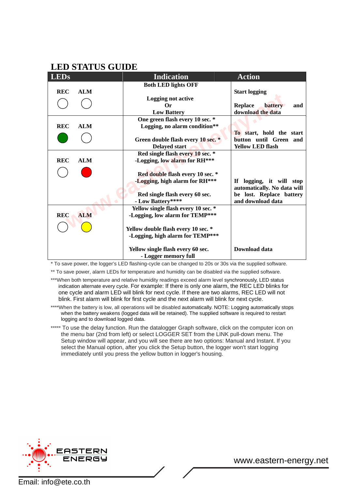#### **LED STATUS GUIDE**

| <b>LEDs</b>              | <b>Indication</b>                   | <b>Action</b>                    |
|--------------------------|-------------------------------------|----------------------------------|
|                          | <b>Both LED lights OFF</b>          |                                  |
| <b>REC</b><br><b>ALM</b> |                                     | <b>Start logging</b>             |
|                          | <b>Logging not active</b>           |                                  |
|                          | Оr                                  | battery<br><b>Replace</b><br>and |
|                          | <b>Low Battery</b>                  | download the data                |
|                          | One green flash every 10 sec. *     |                                  |
| <b>REC</b><br><b>ALM</b> | Logging, no alarm condition**       |                                  |
|                          |                                     | To start, hold the start         |
|                          | Green double flash every 10 sec. *  | button until Green and           |
|                          | <b>Delayed start</b>                | <b>Yellow LED flash</b>          |
|                          | Red single flash every 10 sec. *    |                                  |
| <b>REC</b><br><b>ALM</b> | -Logging, low alarm for RH***       |                                  |
|                          |                                     |                                  |
|                          | Red double flash every 10 sec. *    |                                  |
|                          | -Logging, high alarm for RH***      | If logging, it will stop         |
|                          |                                     | automatically. No data will      |
|                          | Red single flash every 60 sec.      | be lost. Replace battery         |
|                          | - Low Battery****                   | and download data                |
|                          | Yellow single flash every 10 sec. * |                                  |
| <b>REC</b><br><b>ALM</b> | -Logging, low alarm for TEMP***     |                                  |
|                          |                                     |                                  |
|                          | Yellow double flash every 10 sec. * |                                  |
|                          | -Logging, high alarm for TEMP***    |                                  |
|                          |                                     |                                  |
|                          | Yellow single flash every 60 sec.   | Download data                    |
|                          | - Logger memory full                |                                  |

\* To save power, the logger's LED flashing-cycle can be changed to 20s or 30s via the supplied software.

\*\* To save power, alarm LEDs for temperature and humidity can be disabled via the supplied software.

\*\*\*When both temperature and relative humidity readings exceed alarm level synchronously, LED status indication alternate every cycle. For example: If there is only one alarm, the REC LED blinks for one cycle and alarm LED will blink for next cycle. If there are two alarms, REC LED will not blink. First alarm will blink for first cycle and the next alarm will blink for next cycle.

\*\*\*\*When the battery is low, all operations will be disabled automatically. NOTE: Logging automatically stops when the battery weakens (logged data will be retained). The supplied software is required to restart logging and to download logged data.

\*\*\*\*\* To use the delay function. Run the datalogger Graph software, click on the computer icon on the menu bar (2nd from left) or select LOGGER SET from the LINK pull-down menu. The Setup window will appear, and you will see there are two options: Manual and Instant. If you select the Manual option, after you click the Setup button, the logger won't start logging immediately until you press the yellow button in logger's housing.



www.eastern-energy.net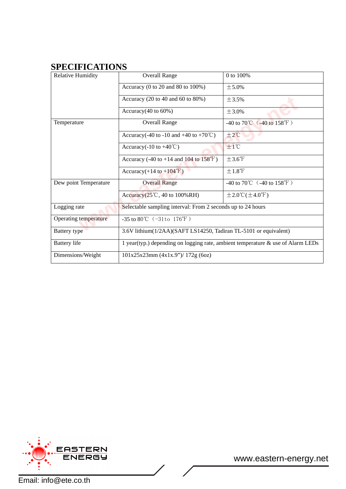### **SPECIFICATIONS**

| <b>Relative Humidity</b>     | <b>Overall Range</b>                                                            | 0 to 100%                                         |  |
|------------------------------|---------------------------------------------------------------------------------|---------------------------------------------------|--|
|                              | Accuracy (0 to 20 and 80 to 100%)                                               | ± 5.0%                                            |  |
|                              | Accuracy $(20 \text{ to } 40 \text{ and } 60 \text{ to } 80\%)$                 | ±3.5%                                             |  |
|                              | Accuracy $(40 \text{ to } 60\%)$                                                | ± 3.0%                                            |  |
| Temperature                  | <b>Overall Range</b>                                                            | -40 to 70 °C $(-40 \text{ to } 158 \text{ T})$    |  |
|                              | Accuracy(-40 to -10 and +40 to +70 $^{\circ}$ C)                                | $±2^{\circ}$ C                                    |  |
|                              | Accuracy( $-10$ to $+40^{\circ}\text{C}$ )                                      | $±1^{\circ}$ C                                    |  |
|                              | Accuracy (-40 to +14 and $104$ to $158^{\circ}$ F)                              | $\pm 3.6^{\circ}$ F                               |  |
|                              | Accuracy $(+14 \text{ to } +104 \text{ F})$                                     | ±1.8°F                                            |  |
| Dew point Temperature        | <b>Overall Range</b>                                                            | $-40$ to $70^{\circ}$ ( $-40$ to $158^{\circ}$ F) |  |
|                              | Accuracy $(25^{\circ}\text{C}, 40 \text{ to } 100\% \text{RH})$                 | $\pm 2.0^{\circ}$ C( $\pm 4.0^{\circ}$ F)         |  |
| Logging rate                 | Selectable sampling interval: From 2 seconds up to 24 hours                     |                                                   |  |
| <b>Operating temperature</b> | -35 to 80°C $(-31t0 176°F)$                                                     |                                                   |  |
| Battery type                 | 3.6V lithium(1/2AA)(SAFT LS14250, Tadiran TL-5101 or equivalent)                |                                                   |  |
| <b>Battery</b> life          | 1 year(typ.) depending on logging rate, ambient temperature & use of Alarm LEDs |                                                   |  |
| Dimensions/Weight            | 101x25x23mm (4x1x.9")/ 172g (6oz)                                               |                                                   |  |



www.eastern-energy.net